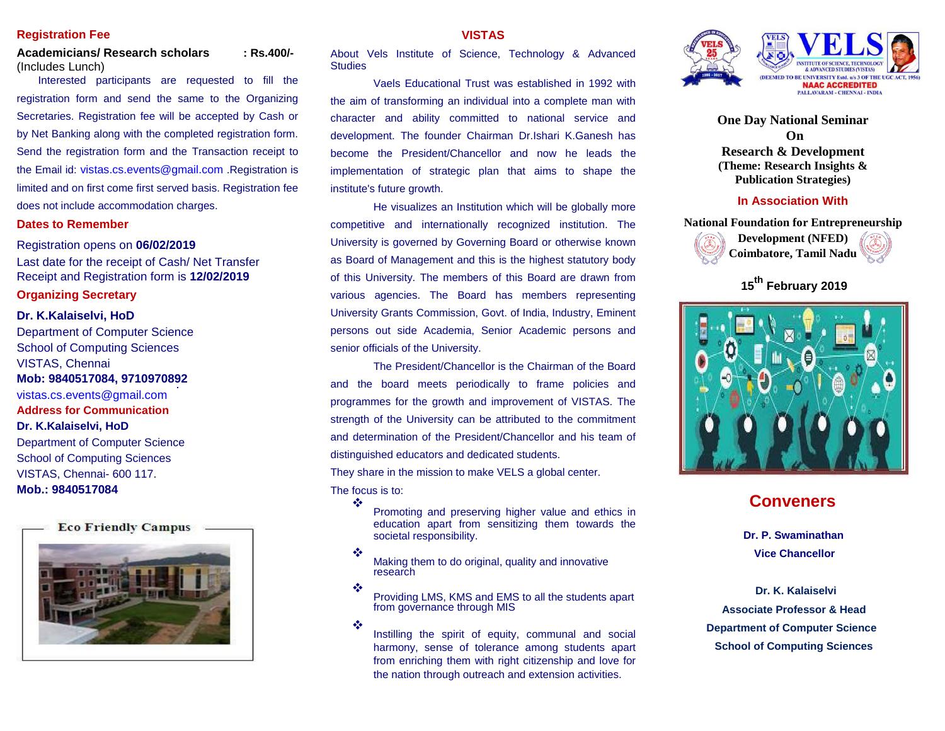## **Registration Fee**

## **Academicians/ Research scholars : Rs.400/-** (Includes Lunch)

Interested participants are requested to fill the registration form and send the same to the Organizing Secretaries. Registration fee will be accepted by Cash or by Net Banking along with the completed registration form. Send the registration form and the Transaction receipt to the Email id: vistas.cs.events@gmail.com .Registration is limited and on first come first served basis. Registration fee does not include accommodation charges.

## **Dates to Remember**

Registration opens on **06/02/2019** Last date for the receipt of Cash/ Net Transfer Receipt and Registration form is **12/02/2019**

## **Organizing Secretary**

## **Dr. K.Kalaiselvi, HoD**

Department of Computer Science School of Computing Sciences VISTAS, Chennai **Mob: 9840517084, 9710970892** vistas.cs.events@gmail.com **Address for Communication Dr. K.Kalaiselvi, HoD**  Department of Computer Science School of Computing Sciences VISTAS, Chennai- 600 117. **Mob.: 9840517084**



## **VISTAS**

About Vels Institute of Science, Technology & Advanced **Studies** 

Vaels Educational Trust was established in 1992 with the aim of transforming an individual into a complete man with character and ability committed to national service and development. The founder Chairman Dr.Ishari K.Ganesh has become the President/Chancellor and now he leads the implementation of strategic plan that aims to shape the institute's future growth.

He visualizes an Institution which will be globally more competitive and internationally recognized institution. The University is governed by Governing Board or otherwise known as Board of Management and this is the highest statutory body of this University. The members of this Board are drawn from various agencies. The Board has members representing University Grants Commission, Govt. of India, Industry, Eminent persons out side Academia, Senior Academic persons and senior officials of the University.

The President/Chancellor is the Chairman of the Board and the board meets periodically to frame policies and programmes for the growth and improvement of VISTAS. The strength of the University can be attributed to the commitment and determination of the President/Chancellor and his team of distinguished educators and dedicated students.

They share in the mission to make VELS a global center.

#### The focus is to: **AND**

Promoting and preserving higher value and ethics in education apart from sensitizing them towards the societal responsibility.

ൟ Making them to do original, quality and innovative research

❖ Providing LMS, KMS and EMS to all the students apart from governance through MIS

 $\frac{1}{2}$ 

Instilling the spirit of equity, communal and social harmony, sense of tolerance among students apart from enriching them with right citizenship and love for the nation through outreach and extension activities.



**One Day National Seminar On Research & Development (Theme: Research Insights & Publication Strategies)**

## **In Association With**





**<sup>15</sup>th February 2019**



# **Conveners**

**Dr. P. Swaminathan Vice Chancellor**

**Dr. K. Kalaiselvi Associate Professor & Head Department of Computer Science School of Computing Sciences**